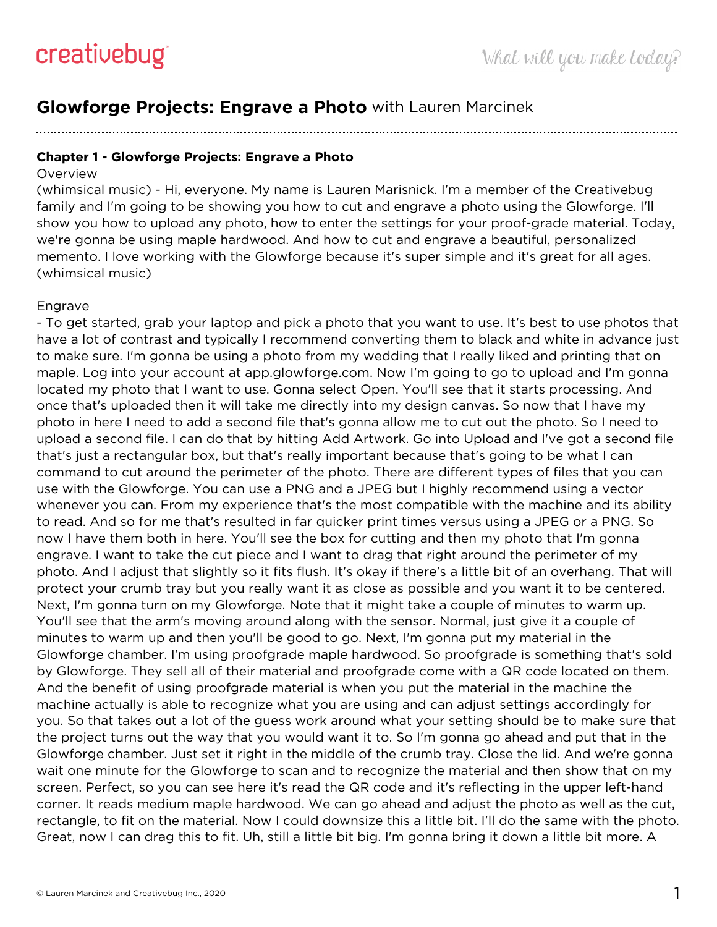## **Glowforge Projects: Engrave a Photo** with Lauren Marcinek

## **Chapter 1 - Glowforge Projects: Engrave a Photo**

## **Overview**

(whimsical music) - Hi, everyone. My name is Lauren Marisnick. I'm a member of the Creativebug family and I'm going to be showing you how to cut and engrave a photo using the Glowforge. I'll show you how to upload any photo, how to enter the settings for your proof-grade material. Today, we're gonna be using maple hardwood. And how to cut and engrave a beautiful, personalized memento. I love working with the Glowforge because it's super simple and it's great for all ages. (whimsical music)

## Engrave

- To get started, grab your laptop and pick a photo that you want to use. It's best to use photos that have a lot of contrast and typically I recommend converting them to black and white in advance just to make sure. I'm gonna be using a photo from my wedding that I really liked and printing that on maple. Log into your account at app.glowforge.com. Now I'm going to go to upload and I'm gonna located my photo that I want to use. Gonna select Open. You'll see that it starts processing. And once that's uploaded then it will take me directly into my design canvas. So now that I have my photo in here I need to add a second file that's gonna allow me to cut out the photo. So I need to upload a second file. I can do that by hitting Add Artwork. Go into Upload and I've got a second file that's just a rectangular box, but that's really important because that's going to be what I can command to cut around the perimeter of the photo. There are different types of files that you can use with the Glowforge. You can use a PNG and a JPEG but I highly recommend using a vector whenever you can. From my experience that's the most compatible with the machine and its ability to read. And so for me that's resulted in far quicker print times versus using a JPEG or a PNG. So now I have them both in here. You'll see the box for cutting and then my photo that I'm gonna engrave. I want to take the cut piece and I want to drag that right around the perimeter of my photo. And I adjust that slightly so it fits flush. It's okay if there's a little bit of an overhang. That will protect your crumb tray but you really want it as close as possible and you want it to be centered. Next, I'm gonna turn on my Glowforge. Note that it might take a couple of minutes to warm up. You'll see that the arm's moving around along with the sensor. Normal, just give it a couple of minutes to warm up and then you'll be good to go. Next, I'm gonna put my material in the Glowforge chamber. I'm using proofgrade maple hardwood. So proofgrade is something that's sold by Glowforge. They sell all of their material and proofgrade come with a QR code located on them. And the benefit of using proofgrade material is when you put the material in the machine the machine actually is able to recognize what you are using and can adjust settings accordingly for you. So that takes out a lot of the guess work around what your setting should be to make sure that the project turns out the way that you would want it to. So I'm gonna go ahead and put that in the Glowforge chamber. Just set it right in the middle of the crumb tray. Close the lid. And we're gonna wait one minute for the Glowforge to scan and to recognize the material and then show that on my screen. Perfect, so you can see here it's read the QR code and it's reflecting in the upper left-hand corner. It reads medium maple hardwood. We can go ahead and adjust the photo as well as the cut, rectangle, to fit on the material. Now I could downsize this a little bit. I'll do the same with the photo. Great, now I can drag this to fit. Uh, still a little bit big. I'm gonna bring it down a little bit more. A